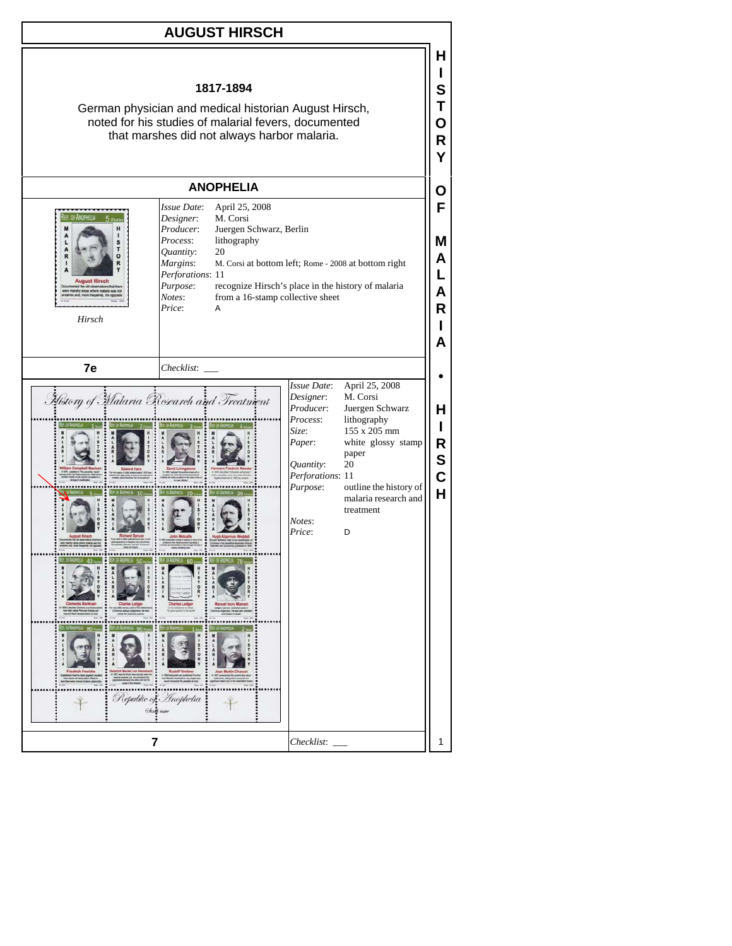